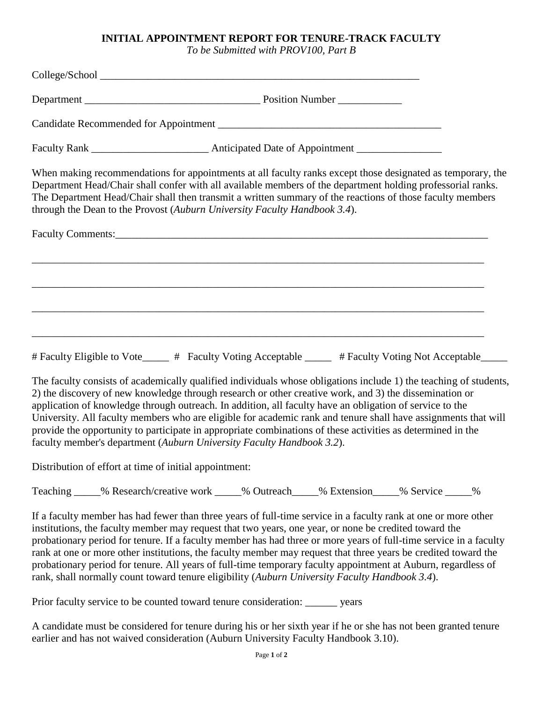## **INITIAL APPOINTMENT REPORT FOR TENURE-TRACK FACULTY**

*To be Submitted with PROV100, Part B*

|                                                        | When making recommendations for appointments at all faculty ranks except those designated as temporary, the<br>Department Head/Chair shall confer with all available members of the department holding professorial ranks.<br>The Department Head/Chair shall then transmit a written summary of the reactions of those faculty members<br>through the Dean to the Provost (Auburn University Faculty Handbook 3.4).                                                                                                                                                                                                                              |
|--------------------------------------------------------|---------------------------------------------------------------------------------------------------------------------------------------------------------------------------------------------------------------------------------------------------------------------------------------------------------------------------------------------------------------------------------------------------------------------------------------------------------------------------------------------------------------------------------------------------------------------------------------------------------------------------------------------------|
|                                                        |                                                                                                                                                                                                                                                                                                                                                                                                                                                                                                                                                                                                                                                   |
|                                                        |                                                                                                                                                                                                                                                                                                                                                                                                                                                                                                                                                                                                                                                   |
|                                                        |                                                                                                                                                                                                                                                                                                                                                                                                                                                                                                                                                                                                                                                   |
|                                                        |                                                                                                                                                                                                                                                                                                                                                                                                                                                                                                                                                                                                                                                   |
|                                                        | # Faculty Eligible to Vote_____ # Faculty Voting Acceptable _____ # Faculty Voting Not Acceptable____                                                                                                                                                                                                                                                                                                                                                                                                                                                                                                                                             |
|                                                        | The faculty consists of academically qualified individuals whose obligations include 1) the teaching of students,<br>2) the discovery of new knowledge through research or other creative work, and 3) the dissemination or<br>application of knowledge through outreach. In addition, all faculty have an obligation of service to the<br>University. All faculty members who are eligible for academic rank and tenure shall have assignments that will<br>provide the opportunity to participate in appropriate combinations of these activities as determined in the<br>faculty member's department (Auburn University Faculty Handbook 3.2). |
| Distribution of effort at time of initial appointment: |                                                                                                                                                                                                                                                                                                                                                                                                                                                                                                                                                                                                                                                   |
|                                                        | Teaching _____% Research/creative work _____% Outreach _____% Extension _____% Service _____%                                                                                                                                                                                                                                                                                                                                                                                                                                                                                                                                                     |
|                                                        | If a faculty member has had fewer than three years of full-time service in a faculty rank at one or more other                                                                                                                                                                                                                                                                                                                                                                                                                                                                                                                                    |

institutions, the faculty member may request that two years, one year, or none be credited toward the probationary period for tenure. If a faculty member has had three or more years of full-time service in a faculty rank at one or more other institutions, the faculty member may request that three years be credited toward the probationary period for tenure. All years of full-time temporary faculty appointment at Auburn, regardless of rank, shall normally count toward tenure eligibility (*Auburn University Faculty Handbook 3.4*).

Prior faculty service to be counted toward tenure consideration: \_\_\_\_\_\_ years

A candidate must be considered for tenure during his or her sixth year if he or she has not been granted tenure earlier and has not waived consideration (Auburn University Faculty Handbook 3.10).